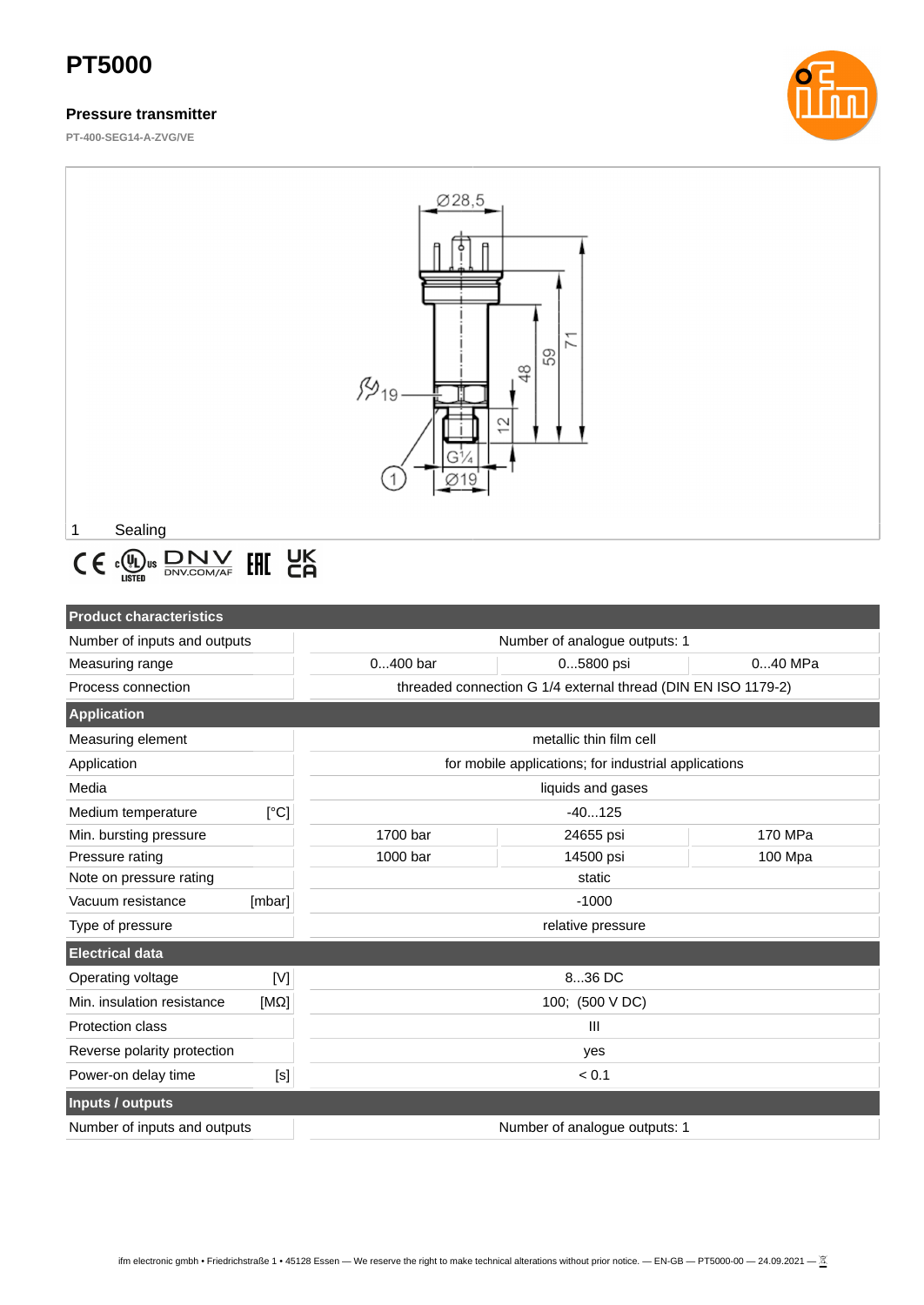### **Pressure transmitter**

**PT-400-SEG14-A-ZVG/VE**





# $\textbf{C} \in \textit{c}_{\textbf{LSTED}}^{\textbf{(L)}} \text{us } \frac{\textbf{D} \textbf{N} \textbf{V}}{\textbf{D} \textbf{N} \textbf{V} \textbf{C} \textbf{D} \textbf{M} / \textbf{A} \textbf{F}} \textbf{[H]} \textbf{[H]}$

| <b>Product characteristics</b>     |             |                                                               |                         |           |  |
|------------------------------------|-------------|---------------------------------------------------------------|-------------------------|-----------|--|
| Number of inputs and outputs       |             | Number of analogue outputs: 1                                 |                         |           |  |
| Measuring range                    |             | $0400$ bar                                                    | 05800 psi               | $040$ MPa |  |
| Process connection                 |             | threaded connection G 1/4 external thread (DIN EN ISO 1179-2) |                         |           |  |
| <b>Application</b>                 |             |                                                               |                         |           |  |
| Measuring element                  |             |                                                               | metallic thin film cell |           |  |
| Application                        |             | for mobile applications; for industrial applications          |                         |           |  |
| Media                              |             | liquids and gases                                             |                         |           |  |
| Medium temperature                 | [°C]        | $-40125$                                                      |                         |           |  |
| Min. bursting pressure             |             | 1700 bar                                                      | 24655 psi               | 170 MPa   |  |
| Pressure rating                    |             | 1000 bar                                                      | 14500 psi               | 100 Mpa   |  |
| Note on pressure rating            |             | static                                                        |                         |           |  |
| Vacuum resistance                  | [mbar]      | $-1000$                                                       |                         |           |  |
| Type of pressure                   |             | relative pressure                                             |                         |           |  |
| <b>Electrical data</b>             |             |                                                               |                         |           |  |
| Operating voltage                  | $[{\sf M}]$ | 836 DC                                                        |                         |           |  |
| Min. insulation resistance         | $[M\Omega]$ | 100; (500 V DC)                                               |                         |           |  |
| Protection class<br>$\mathbf{III}$ |             |                                                               |                         |           |  |
| Reverse polarity protection        |             | yes                                                           |                         |           |  |
| Power-on delay time                | [s]         | ${}_{0.1}$                                                    |                         |           |  |
| <b>Inputs / outputs</b>            |             |                                                               |                         |           |  |
| Number of inputs and outputs       |             | Number of analogue outputs: 1                                 |                         |           |  |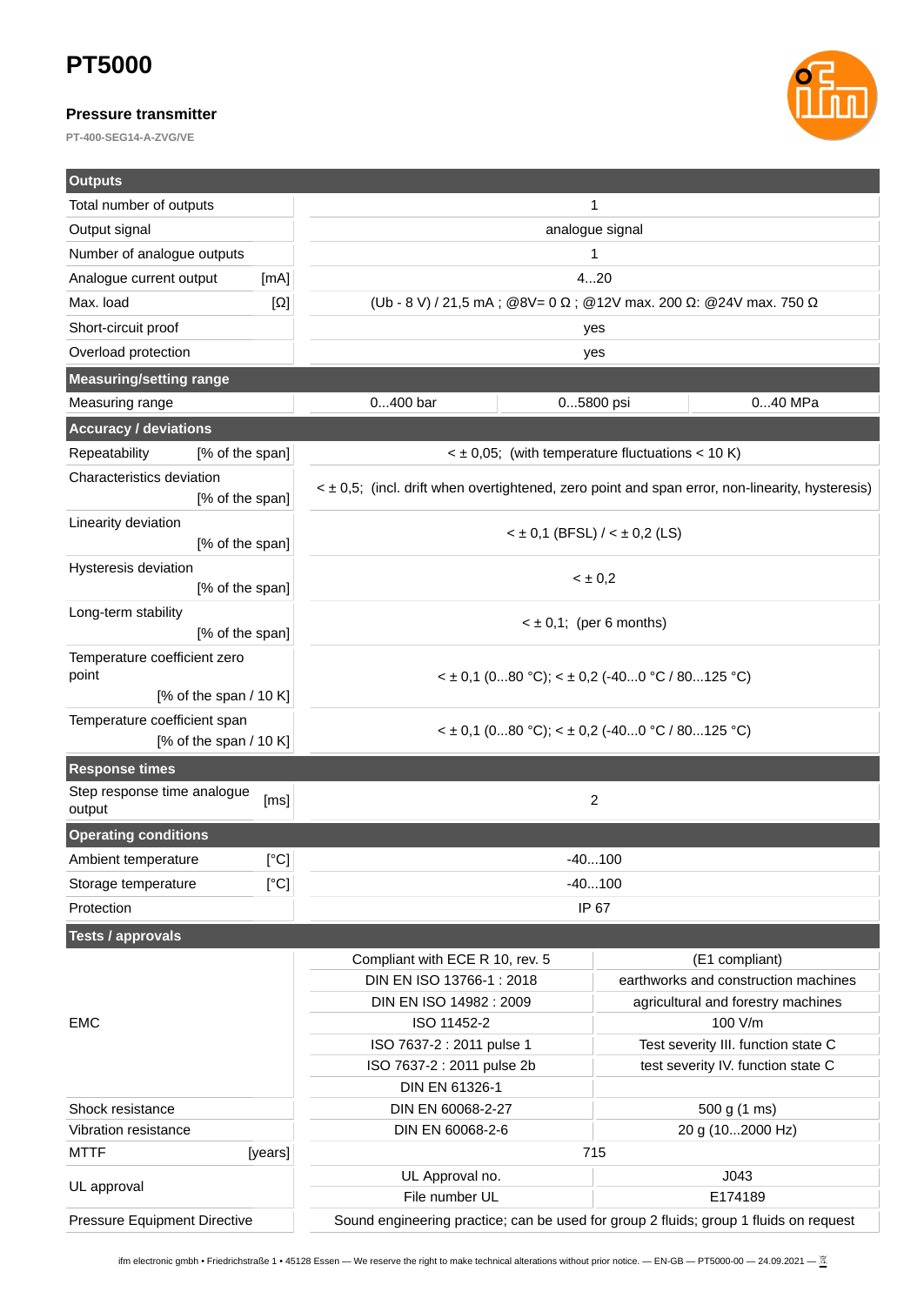### **Pressure transmitter**

**PT-400-SEG14-A-ZVG/VE**



| <b>Outputs</b>                                           |            |                                                                                                 |                                                                  |  |
|----------------------------------------------------------|------------|-------------------------------------------------------------------------------------------------|------------------------------------------------------------------|--|
| Total number of outputs                                  |            | 1                                                                                               |                                                                  |  |
| Output signal                                            |            | analogue signal                                                                                 |                                                                  |  |
| Number of analogue outputs                               |            | 1                                                                                               |                                                                  |  |
| Analogue current output                                  | [mA]       |                                                                                                 | 420                                                              |  |
| Max. load                                                | $[\Omega]$ |                                                                                                 | (Ub - 8 V) / 21,5 mA; @8V= 0 Ω; @12V max. 200 Ω: @24V max. 750 Ω |  |
| Short-circuit proof                                      |            | yes                                                                                             |                                                                  |  |
| Overload protection                                      |            | yes                                                                                             |                                                                  |  |
| <b>Measuring/setting range</b>                           |            |                                                                                                 |                                                                  |  |
| Measuring range                                          |            | 0400 bar                                                                                        | 05800 psi<br>040 MPa                                             |  |
| <b>Accuracy / deviations</b>                             |            |                                                                                                 |                                                                  |  |
| Repeatability<br>[% of the span]                         |            | $\leq$ ± 0,05; (with temperature fluctuations $\leq$ 10 K)                                      |                                                                  |  |
| Characteristics deviation                                |            |                                                                                                 |                                                                  |  |
| [% of the span]                                          |            | < ± 0,5; (incl. drift when overtightened, zero point and span error, non-linearity, hysteresis) |                                                                  |  |
| Linearity deviation<br>[% of the span]                   |            | $<$ ± 0,1 (BFSL) $/$ < ± 0,2 (LS)                                                               |                                                                  |  |
| Hysteresis deviation<br>[% of the span]                  |            | $< \pm 0.2$                                                                                     |                                                                  |  |
| Long-term stability<br>[% of the span]                   |            | $\leq \pm 0.1$ ; (per 6 months)                                                                 |                                                                  |  |
| Temperature coefficient zero<br>point                    |            | $\leq$ ± 0,1 (080 °C); $\leq$ ± 0,2 (-400 °C / 80125 °C)                                        |                                                                  |  |
| [% of the span $/$ 10 K]                                 |            |                                                                                                 |                                                                  |  |
| Temperature coefficient span<br>[% of the span $/$ 10 K] |            | $\leq$ ± 0,1 (080 °C); $\leq$ ± 0,2 (-400 °C / 80125 °C)                                        |                                                                  |  |
| <b>Response times</b>                                    |            |                                                                                                 |                                                                  |  |
| Step response time analogue<br>[ms]<br>output            |            | 2                                                                                               |                                                                  |  |
| <b>Operating conditions</b>                              |            |                                                                                                 |                                                                  |  |
| Ambient temperature                                      | [°C]       | -40…100                                                                                         |                                                                  |  |
| Storage temperature                                      | [°C]       |                                                                                                 | $-40100$                                                         |  |
| Protection                                               |            | IP 67                                                                                           |                                                                  |  |
| <b>Tests / approvals</b>                                 |            |                                                                                                 |                                                                  |  |
|                                                          |            | Compliant with ECE R 10, rev. 5                                                                 | (E1 compliant)                                                   |  |
|                                                          |            | DIN EN ISO 13766-1 : 2018                                                                       | earthworks and construction machines                             |  |
|                                                          |            | DIN EN ISO 14982 : 2009                                                                         | agricultural and forestry machines                               |  |
| <b>EMC</b>                                               |            | ISO 11452-2                                                                                     | 100 V/m                                                          |  |
|                                                          |            | ISO 7637-2 : 2011 pulse 1                                                                       | Test severity III. function state C                              |  |
|                                                          |            | ISO 7637-2 : 2011 pulse 2b                                                                      | test severity IV. function state C                               |  |
|                                                          |            | DIN EN 61326-1                                                                                  |                                                                  |  |
| Shock resistance                                         |            | DIN EN 60068-2-27                                                                               | 500 g (1 ms)                                                     |  |
| Vibration resistance                                     |            | DIN EN 60068-2-6<br>20 g (102000 Hz)                                                            |                                                                  |  |
| <b>MTTF</b>                                              | [years]    |                                                                                                 | 715                                                              |  |
| UL approval                                              |            | UL Approval no.                                                                                 | J043                                                             |  |
|                                                          |            | File number UL                                                                                  | E174189                                                          |  |
| Pressure Equipment Directive                             |            | Sound engineering practice; can be used for group 2 fluids; group 1 fluids on request           |                                                                  |  |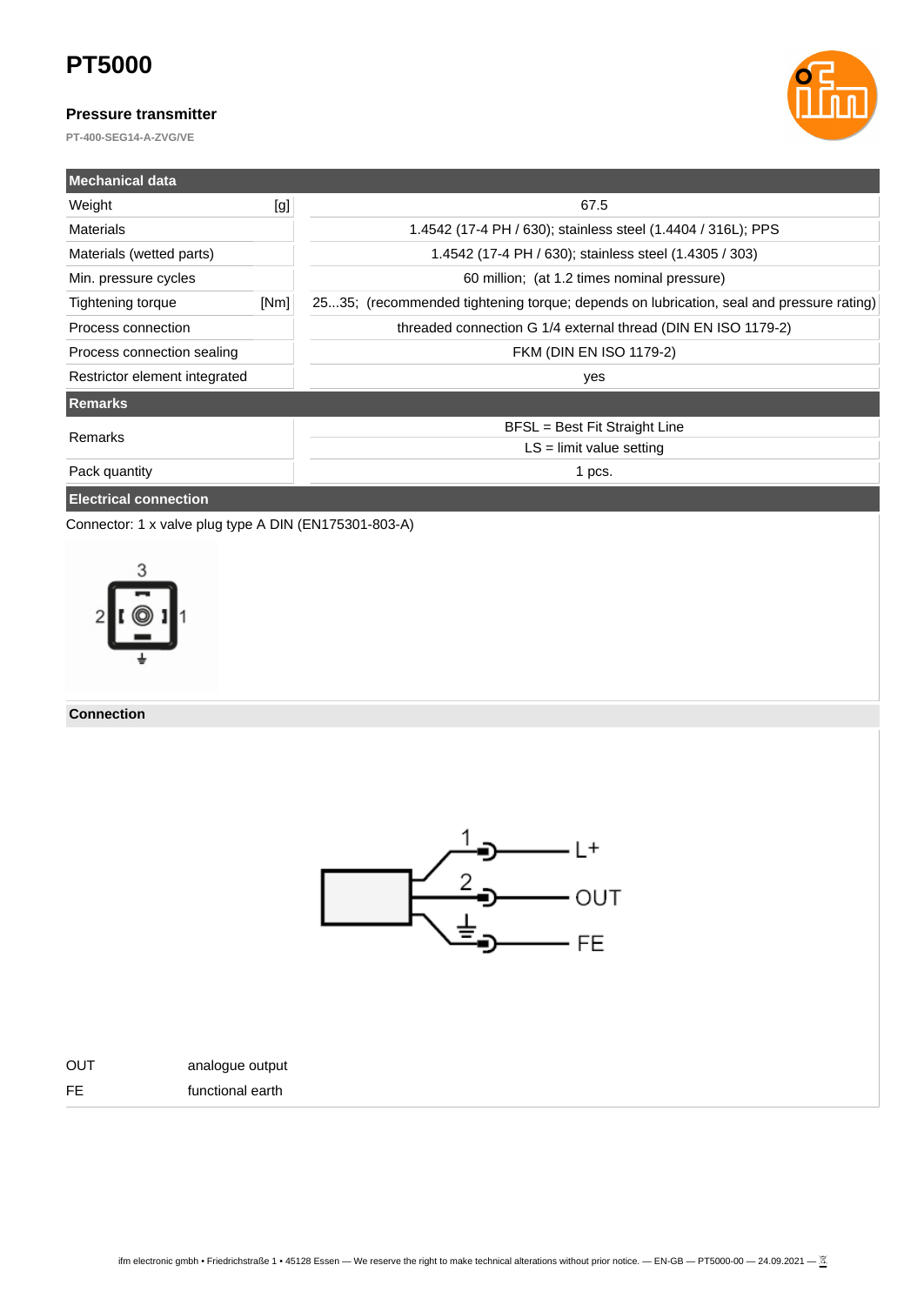#### **Pressure transmitter**

**PT-400-SEG14-A-ZVG/VE**



| <b>Mechanical data</b>        |      |                                                                                         |  |  |
|-------------------------------|------|-----------------------------------------------------------------------------------------|--|--|
| Weight                        | [g]  | 67.5                                                                                    |  |  |
| <b>Materials</b>              |      | 1.4542 (17-4 PH / 630); stainless steel (1.4404 / 316L); PPS                            |  |  |
| Materials (wetted parts)      |      | 1.4542 (17-4 PH / 630); stainless steel (1.4305 / 303)                                  |  |  |
| Min. pressure cycles          |      | 60 million; (at 1.2 times nominal pressure)                                             |  |  |
| Tightening torque             | [Nm] | 2535; (recommended tightening torque; depends on lubrication, seal and pressure rating) |  |  |
| Process connection            |      | threaded connection G 1/4 external thread (DIN EN ISO 1179-2)                           |  |  |
| Process connection sealing    |      | FKM (DIN EN ISO 1179-2)                                                                 |  |  |
| Restrictor element integrated |      | yes                                                                                     |  |  |
| <b>Remarks</b>                |      |                                                                                         |  |  |
| Remarks                       |      | BFSL = Best Fit Straight Line                                                           |  |  |
|                               |      | $LS =$ limit value setting                                                              |  |  |
| Pack quantity                 |      | 1 pcs.                                                                                  |  |  |
| <b>Electrical connection</b>  |      |                                                                                         |  |  |

Connector: 1 x valve plug type A DIN (EN175301-803-A)



**Connection**





FE functional earth